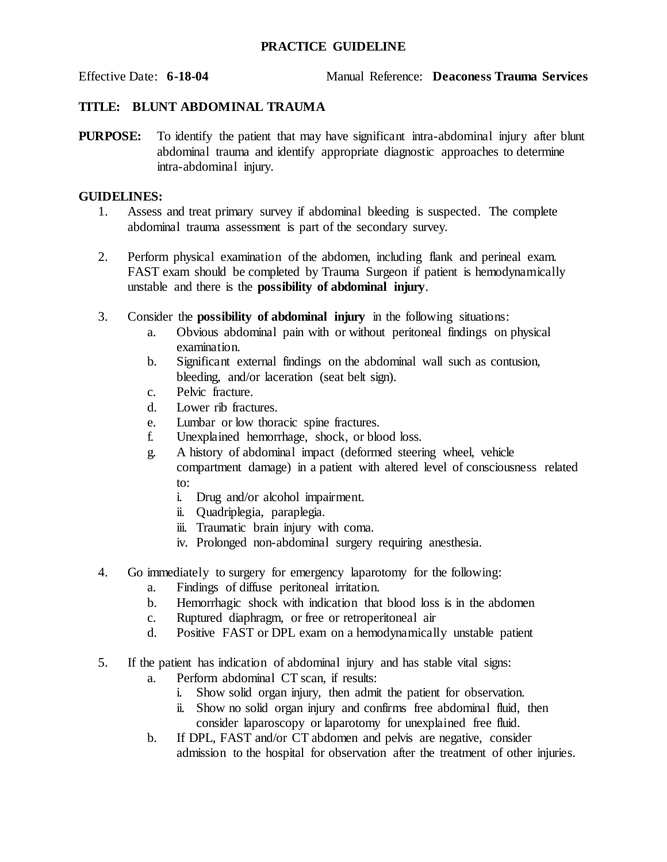## **PRACTICE GUIDELINE**

## **TITLE: BLUNT ABDOMINAL TRAUMA**

**PURPOSE:** To identify the patient that may have significant intra-abdominal injury after blunt abdominal trauma and identify appropriate diagnostic approaches to determine intra-abdominal injury.

## **GUIDELINES:**

- 1. Assess and treat primary survey if abdominal bleeding is suspected. The complete abdominal trauma assessment is part of the secondary survey.
- 2. Perform physical examination of the abdomen, including flank and perineal exam. FAST exam should be completed by Trauma Surgeon if patient is hemodynamically unstable and there is the **possibility of abdominal injury**.
- 3. Consider the **possibility of abdominal injury** in the following situations:
	- a. Obvious abdominal pain with or without peritoneal findings on physical examination.
	- b. Significant external findings on the abdominal wall such as contusion, bleeding, and/or laceration (seat belt sign).
	- c. Pelvic fracture.
	- d. Lower rib fractures.
	- e. Lumbar or low thoracic spine fractures.
	- f. Unexplained hemorrhage, shock, or blood loss.
	- g. A history of abdominal impact (deformed steering wheel, vehicle compartment damage) in a patient with altered level of consciousness related to:
		- i. Drug and/or alcohol impairment.
		- ii. Quadriplegia, paraplegia.
		- iii. Traumatic brain injury with coma.
		- iv. Prolonged non-abdominal surgery requiring anesthesia.
- 4. Go immediately to surgery for emergency laparotomy for the following:
	- a. Findings of diffuse peritoneal irritation.
	- b. Hemorrhagic shock with indication that blood loss is in the abdomen
	- c. Ruptured diaphragm, or free or retroperitoneal air
	- d. Positive FAST or DPL exam on a hemodynamically unstable patient
- 5. If the patient has indication of abdominal injury and has stable vital signs:
	- a. Perform abdominal CT scan, if results:
		- i. Show solid organ injury, then admit the patient for observation.
		- ii. Show no solid organ injury and confirms free abdominal fluid, then consider laparoscopy or laparotomy for unexplained free fluid.
	- b. If DPL, FAST and/or CT abdomen and pelvis are negative, consider admission to the hospital for observation after the treatment of other injuries.